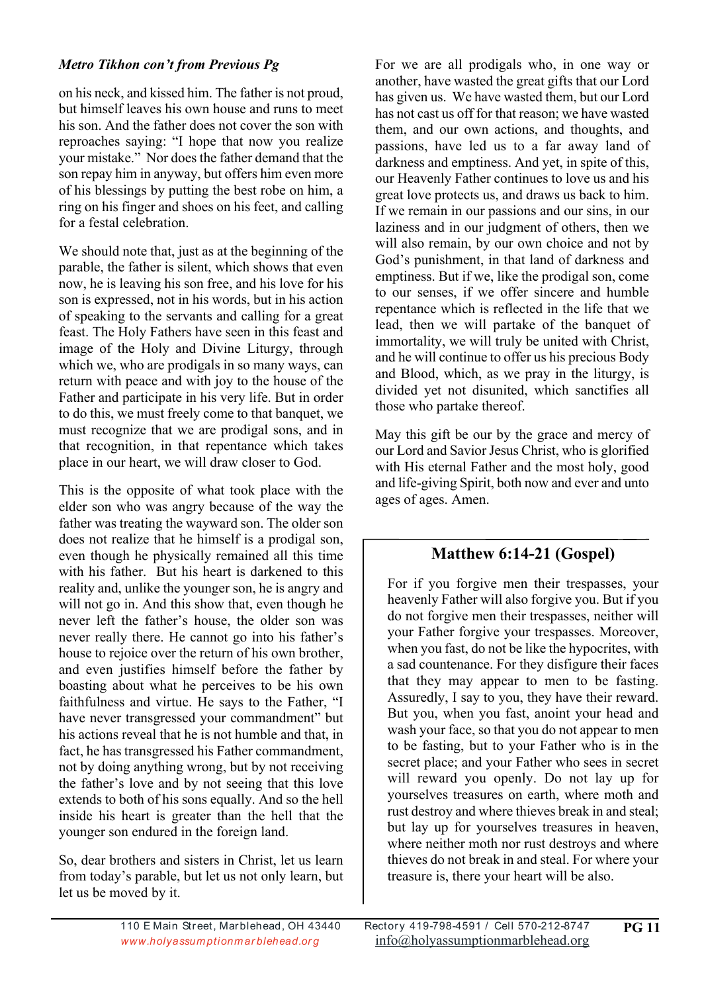## *Metro Tikhon con't from Previous Pg*

on his neck, and kissed him. The father is not proud, but himself leaves his own house and runs to meet his son. And the father does not cover the son with reproaches saying: "I hope that now you realize your mistake." Nor does the father demand that the son repay him in anyway, but offers him even more of his blessings by putting the best robe on him, a ring on his finger and shoes on his feet, and calling for a festal celebration.

We should note that, just as at the beginning of the parable, the father is silent, which shows that even now, he is leaving his son free, and his love for his son is expressed, not in his words, but in his action of speaking to the servants and calling for a great feast. The Holy Fathers have seen in this feast and image of the Holy and Divine Liturgy, through which we, who are prodigals in so many ways, can return with peace and with joy to the house of the Father and participate in his very life. But in order to do this, we must freely come to that banquet, we must recognize that we are prodigal sons, and in that recognition, in that repentance which takes place in our heart, we will draw closer to God.

This is the opposite of what took place with the elder son who was angry because of the way the father was treating the wayward son. The older son does not realize that he himself is a prodigal son, even though he physically remained all this time with his father. But his heart is darkened to this reality and, unlike the younger son, he is angry and will not go in. And this show that, even though he never left the father's house, the older son was never really there. He cannot go into his father's house to rejoice over the return of his own brother, and even justifies himself before the father by boasting about what he perceives to be his own faithfulness and virtue. He says to the Father, "I have never transgressed your commandment" but his actions reveal that he is not humble and that, in fact, he has transgressed his Father commandment, not by doing anything wrong, but by not receiving the father's love and by not seeing that this love extends to both of his sons equally. And so the hell inside his heart is greater than the hell that the younger son endured in the foreign land.

So, dear brothers and sisters in Christ, let us learn from today's parable, but let us not only learn, but let us be moved by it.

For we are all prodigals who, in one way or another, have wasted the great gifts that our Lord has given us. We have wasted them, but our Lord has not cast us off for that reason; we have wasted them, and our own actions, and thoughts, and passions, have led us to a far away land of darkness and emptiness. And yet, in spite of this, our Heavenly Father continues to love us and his great love protects us, and draws us back to him. If we remain in our passions and our sins, in our laziness and in our judgment of others, then we will also remain, by our own choice and not by God's punishment, in that land of darkness and emptiness. But if we, like the prodigal son, come to our senses, if we offer sincere and humble repentance which is reflected in the life that we lead, then we will partake of the banquet of immortality, we will truly be united with Christ, and he will continue to offer us his precious Body and Blood, which, as we pray in the liturgy, is divided yet not disunited, which sanctifies all those who partake thereof.

May this gift be our by the grace and mercy of our Lord and Savior Jesus Christ, who is glorified with His eternal Father and the most holy, good and life-giving Spirit, both now and ever and unto ages of ages. Amen.

## **Matthew 6:14-21 (Gospel)**

For if you forgive men their trespasses, your heavenly Father will also forgive you. But if you do not forgive men their trespasses, neither will your Father forgive your trespasses. Moreover, when you fast, do not be like the hypocrites, with a sad countenance. For they disfigure their faces that they may appear to men to be fasting. Assuredly, I say to you, they have their reward. But you, when you fast, anoint your head and wash your face, so that you do not appear to men to be fasting, but to your Father who is in the secret place; and your Father who sees in secret will reward you openly. Do not lay up for yourselves treasures on earth, where moth and rust destroy and where thieves break in and steal; but lay up for yourselves treasures in heaven, where neither moth nor rust destroys and where thieves do not break in and steal. For where your treasure is, there your heart will be also.